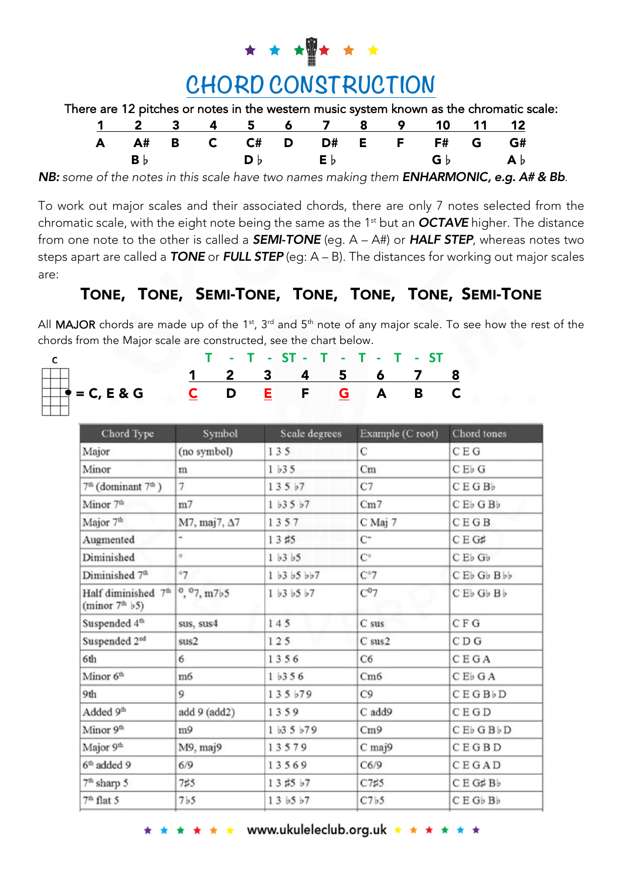

| There are 12 pitches or notes in the western music system known as the chromatic scale: |  |
|-----------------------------------------------------------------------------------------|--|
|-----------------------------------------------------------------------------------------|--|

|  |  |  |  |  | 1 2 3 4 5 6 7 8 9 10 11 12                                                                                                                             |
|--|--|--|--|--|--------------------------------------------------------------------------------------------------------------------------------------------------------|
|  |  |  |  |  | A A# B C C# D D# E F F# G G#                                                                                                                           |
|  |  |  |  |  | $\mathbf{B} \flat$ $\qquad \qquad \mathbf{D} \flat$ $\qquad \qquad \mathbf{E} \flat$ $\qquad \qquad \mathbf{G} \flat$ $\qquad \qquad \mathbf{A} \flat$ |

*NB: some of the notes in this scale have two names making them ENHARMONIC, e.g. A# & Bb.*

To work out major scales and their associated chords, there are only 7 notes selected from the chromatic scale, with the eight note being the same as the 1st but an *OCTAVE* higher. The distance from one note to the other is called a *SEMI-TONE* (eg. A – A#) or *HALF STEP*, whereas notes two steps apart are called a *TONE* or *FULL STEP* (eg: A – B). The distances for working out major scales are:

## TONE, TONE, SEMI-TONE, TONE, TONE, TONE, SEMI-TONE

All **MAJOR** chords are made up of the 1<sup>st</sup>, 3<sup>rd</sup> and 5<sup>th</sup> note of any major scale. To see how the rest of the chords from the Major scale are constructed, see the chart below.

|  |  | $=C, E &$ |  |  |
|--|--|-----------|--|--|
|  |  |           |  |  |
|  |  |           |  |  |

|   |  |  | $T - T - ST - T - T - T - ST$ |  |  |
|---|--|--|-------------------------------|--|--|
|   |  |  | 1 2 3 4 5 6 7 8               |  |  |
| G |  |  | CDEFGABC                      |  |  |

| Chord Type                                                                                 | Symbol         | Scale degrees     | Example (C root)     | Chord tones                                    |
|--------------------------------------------------------------------------------------------|----------------|-------------------|----------------------|------------------------------------------------|
| Major                                                                                      | (no symbol)    | 135               | C                    | C E G                                          |
| Minor                                                                                      | m              | $1\overline{b}35$ | Cm                   | C E b G                                        |
| $7th$ (dominant $7th$ )                                                                    | $\overline{7}$ | 135b7             | C7                   | CEGBb                                          |
| Minor 7 <sup>th</sup>                                                                      | m7             | $1\;b3\;5\;b7$    | Cm7                  | C E <sub>b</sub> G B <sub>b</sub>              |
| Major 7 <sup>th</sup>                                                                      | M7, maj7, Δ7   | 1357              | C Maj 7              | CEGB                                           |
| Augmented                                                                                  | ٠              | 13 #5             | $C^+$                | CEG#                                           |
| Diminished                                                                                 | $\circ$        | 1 b3 b5           | $\mathbf{C}^{\circ}$ | C E <sub>b</sub> G <sub>b</sub>                |
| Diminished 7 <sup>th</sup>                                                                 | 07             | 1 b3 b5 b57       | $C^{\circ}7$         | CE <sub>b</sub> G <sub>b</sub> B <sub>bb</sub> |
| Half diminished $7th$   $\degree$ , $\degree$ 7, m7 $\frac{1}{2}$ 5<br>(minor $7th$ $b5$ ) |                | 1 b3 b5 b7        | $C^{07}$             | C E b G b B b                                  |
| Suspended 4 <sup>th</sup>                                                                  | sus, sus4      | 145               | $C$ sus              | C F G                                          |
| Suspended 2 <sup>nd</sup>                                                                  | sus2           | 125               | C sus2               | CDG                                            |
| 6th                                                                                        | 6              | 1356              | C <sub>6</sub>       | CEGA                                           |
| Minor 6 <sup>th</sup>                                                                      | m <sub>6</sub> | 1 <sub>b356</sub> | Cm6                  | C E b G A                                      |
| 9th                                                                                        | 9              | 135 b79           | C9                   | CEGBbD                                         |
| Added 9th                                                                                  | add 9 (add2)   | 1359              | C add9               | CEGD                                           |
| Minor 9 <sup>th</sup>                                                                      | m9             | $1\;13\;5\;179$   | Cm9                  | C E b G B b D                                  |
| Major 9 <sup>th</sup>                                                                      | M9, maj9       | 13579             | C maj9               | CEGBD                                          |
| $6th$ added 9                                                                              | 6/9            | 13569             | C6/9                 | CEGAD                                          |
| $7th$ sharp 5                                                                              | 7#5            | 13#5 b7           | C7#5                 | CE G#Bb                                        |
| 7 <sup>th</sup> flat 5                                                                     | 7b5            | 13~b5~b7          | C7b5                 | CEGbBb                                         |
|                                                                                            |                |                   |                      |                                                |